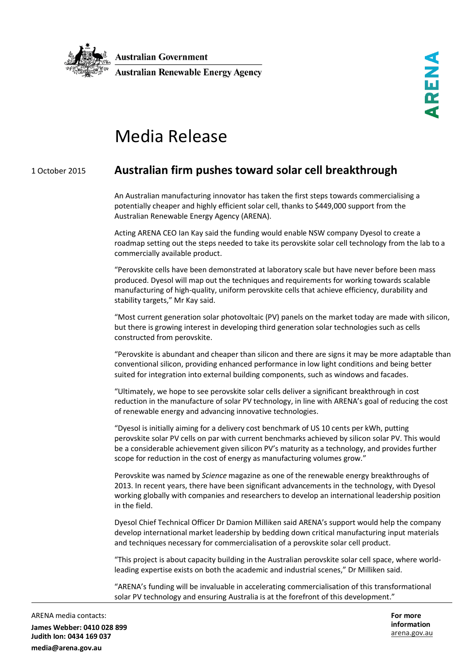

## Media Release

## 1 October 2015 **Australian firm pushes toward solar cell breakthrough**

An Australian manufacturing innovator has taken the first steps towards commercialising a potentially cheaper and highly efficient solar cell, thanks to \$449,000 support from the Australian Renewable Energy Agency (ARENA).

Acting ARENA CEO Ian Kay said the funding would enable NSW company Dyesol to create a roadmap setting out the steps needed to take its perovskite solar cell technology from the lab to a commercially available product.

"Perovskite cells have been demonstrated at laboratory scale but have never before been mass produced. Dyesol will map out the techniques and requirements for working towards scalable manufacturing of high-quality, uniform perovskite cells that achieve efficiency, durability and stability targets," Mr Kay said.

"Most current generation solar photovoltaic (PV) panels on the market today are made with silicon, but there is growing interest in developing third generation solar technologies such as cells constructed from perovskite.

"Perovskite is abundant and cheaper than silicon and there are signs it may be more adaptable than conventional silicon, providing enhanced performance in low light conditions and being better suited for integration into external building components, such as windows and facades.

"Ultimately, we hope to see perovskite solar cells deliver a significant breakthrough in cost reduction in the manufacture of solar PV technology, in line with ARENA's goal of reducing the cost of renewable energy and advancing innovative technologies.

"Dyesol is initially aiming for a delivery cost benchmark of US 10 cents per kWh, putting perovskite solar PV cells on par with current benchmarks achieved by silicon solar PV. This would be a considerable achievement given silicon PV's maturity as a technology, and provides further scope for reduction in the cost of energy as manufacturing volumes grow."

Perovskite was named by *Science* magazine as one of the renewable energy breakthroughs of 2013. In recent years, there have been significant advancements in the technology, with Dyesol working globally with companies and researchers to develop an international leadership position in the field.

Dyesol Chief Technical Officer Dr Damion Milliken said ARENA's support would help the company develop international market leadership by bedding down critical manufacturing input materials and techniques necessary for commercialisation of a perovskite solar cell product.

"This project is about capacity building in the Australian perovskite solar cell space, where worldleading expertise exists on both the academic and industrial scenes," Dr Milliken said.

"ARENA's funding will be invaluable in accelerating commercialisation of this transformational solar PV technology and ensuring Australia is at the forefront of this development."

ARENA media contacts: **James Webber: 0410 028 899 Judith Ion: 0434 169 037 media@arena.gov.au**